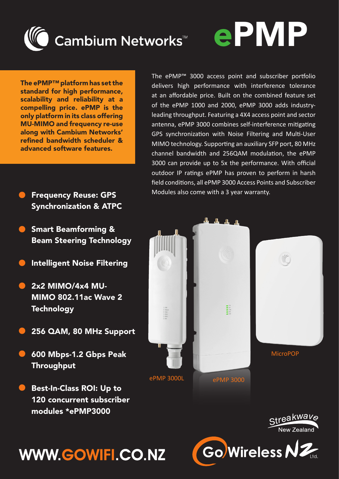

The ePMP™ platform has set the standard for high performance, scalability and reliability at a compelling price. ePMP is the only platform in its class offering MU-MIMO and frequency re-use along with Cambium Networks' refined bandwidth scheduler & advanced software features.

- Frequency Reuse: GPS Synchronization & ATPC
- Smart Beamforming & Beam Steering Technology
- Intelligent Noise Filtering
- 2x2 MIMO/4x4 MU-MIMO 802.11ac Wave 2 **Technology**
- 256 QAM, 80 MHz Support
- 600 Mbps-1.2 Gbps Peak Throughput
- Best-In-Class ROI: Up to 120 concurrent subscriber modules \*ePMP3000

The ePMP™ 3000 access point and subscriber portfolio delivers high performance with interference tolerance at an affordable price. Built on the combined feature set of the ePMP 1000 and 2000, ePMP 3000 adds industryleading throughput. Featuring a 4X4 access point and sector antenna, ePMP 3000 combines self-interference mitigating GPS synchronization with Noise Filtering and Multi-User MIMO technology. Supporting an auxiliary SFP port, 80 MHz channel bandwidth and 256QAM modulation, the ePMP 3000 can provide up to 5x the performance. With official outdoor IP ratings ePMP has proven to perform in harsh field conditions, all ePMP 3000 Access Points and Subscriber Modules also come with a 3 year warranty.

ePMP



Streakwave



## **WWW.GOWIFI.CO.NZ**